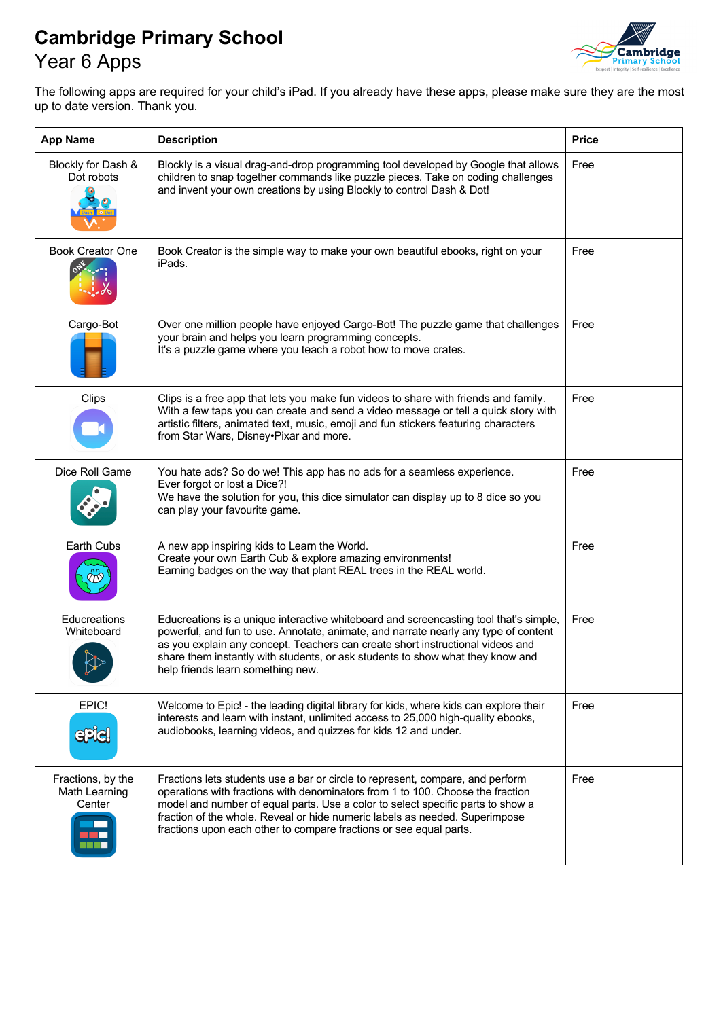# Year 6 Apps



The following apps are required for your child's iPad. If you already have these apps, please make sure they are the most up to date version. Thank you.

| <b>App Name</b>                                       | <b>Description</b>                                                                                                                                                                                                                                                                                                                                                                                       | <b>Price</b> |
|-------------------------------------------------------|----------------------------------------------------------------------------------------------------------------------------------------------------------------------------------------------------------------------------------------------------------------------------------------------------------------------------------------------------------------------------------------------------------|--------------|
| Blockly for Dash &<br>Dot robots                      | Blockly is a visual drag-and-drop programming tool developed by Google that allows<br>children to snap together commands like puzzle pieces. Take on coding challenges<br>and invent your own creations by using Blockly to control Dash & Dot!                                                                                                                                                          | Free         |
| <b>Book Creator One</b>                               | Book Creator is the simple way to make your own beautiful ebooks, right on your<br>iPads.                                                                                                                                                                                                                                                                                                                | Free         |
| Cargo-Bot                                             | Over one million people have enjoyed Cargo-Bot! The puzzle game that challenges<br>your brain and helps you learn programming concepts.<br>It's a puzzle game where you teach a robot how to move crates.                                                                                                                                                                                                | Free         |
| Clips                                                 | Clips is a free app that lets you make fun videos to share with friends and family.<br>With a few taps you can create and send a video message or tell a quick story with<br>artistic filters, animated text, music, emoji and fun stickers featuring characters<br>from Star Wars, Disney•Pixar and more.                                                                                               | Free         |
| Dice Roll Game                                        | You hate ads? So do we! This app has no ads for a seamless experience.<br>Ever forgot or lost a Dice?!<br>We have the solution for you, this dice simulator can display up to 8 dice so you<br>can play your favourite game.                                                                                                                                                                             | Free         |
| Earth Cubs                                            | A new app inspiring kids to Learn the World.<br>Create your own Earth Cub & explore amazing environments!<br>Earning badges on the way that plant REAL trees in the REAL world.                                                                                                                                                                                                                          | Free         |
| Educreations<br>Whiteboard                            | Educreations is a unique interactive whiteboard and screencasting tool that's simple,<br>powerful, and fun to use. Annotate, animate, and narrate nearly any type of content<br>as you explain any concept. Teachers can create short instructional videos and<br>share them instantly with students, or ask students to show what they know and<br>help friends learn something new.                    | Free         |
| EPIC!<br><b>ePiel</b>                                 | Welcome to Epic! - the leading digital library for kids, where kids can explore their<br>interests and learn with instant, unlimited access to 25,000 high-quality ebooks,<br>audiobooks, learning videos, and quizzes for kids 12 and under.                                                                                                                                                            | Free         |
| Fractions, by the<br>Math Learning<br>Center<br>T T T | Fractions lets students use a bar or circle to represent, compare, and perform<br>operations with fractions with denominators from 1 to 100. Choose the fraction<br>model and number of equal parts. Use a color to select specific parts to show a<br>fraction of the whole. Reveal or hide numeric labels as needed. Superimpose<br>fractions upon each other to compare fractions or see equal parts. | Free         |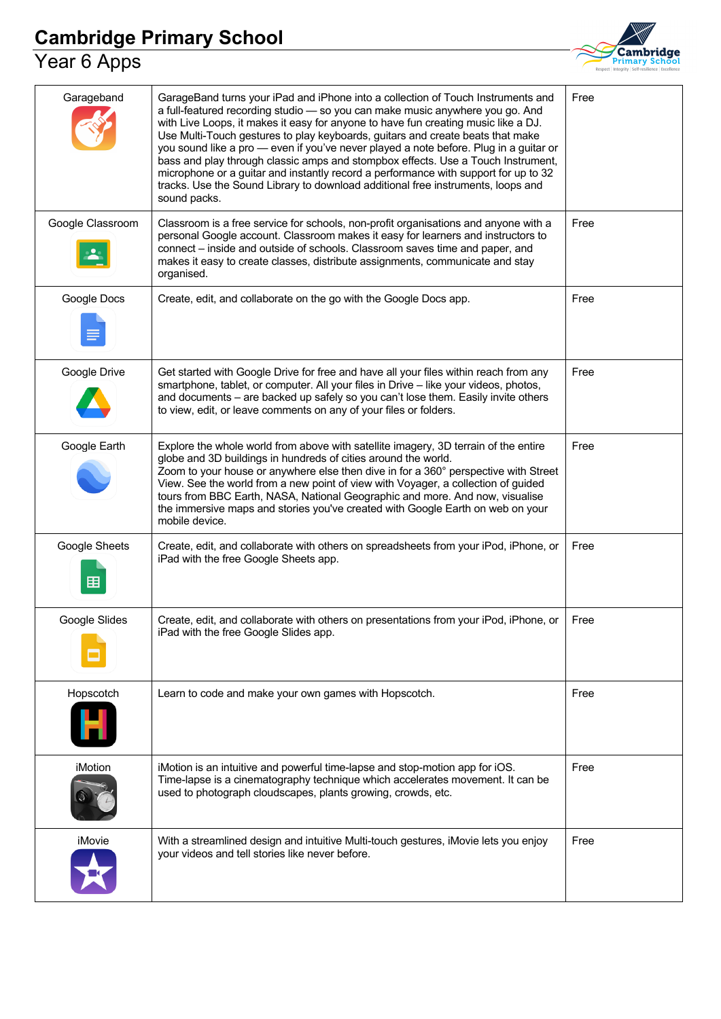#### Year 6 Apps



| Garageband         | GarageBand turns your iPad and iPhone into a collection of Touch Instruments and<br>a full-featured recording studio - so you can make music anywhere you go. And<br>with Live Loops, it makes it easy for anyone to have fun creating music like a DJ.<br>Use Multi-Touch gestures to play keyboards, guitars and create beats that make<br>you sound like a pro - even if you've never played a note before. Plug in a guitar or<br>bass and play through classic amps and stompbox effects. Use a Touch Instrument,<br>microphone or a guitar and instantly record a performance with support for up to 32<br>tracks. Use the Sound Library to download additional free instruments, loops and<br>sound packs. | Free |
|--------------------|-------------------------------------------------------------------------------------------------------------------------------------------------------------------------------------------------------------------------------------------------------------------------------------------------------------------------------------------------------------------------------------------------------------------------------------------------------------------------------------------------------------------------------------------------------------------------------------------------------------------------------------------------------------------------------------------------------------------|------|
| Google Classroom   | Classroom is a free service for schools, non-profit organisations and anyone with a<br>personal Google account. Classroom makes it easy for learners and instructors to<br>connect – inside and outside of schools. Classroom saves time and paper, and<br>makes it easy to create classes, distribute assignments, communicate and stay<br>organised.                                                                                                                                                                                                                                                                                                                                                            | Free |
| Google Docs        | Create, edit, and collaborate on the go with the Google Docs app.                                                                                                                                                                                                                                                                                                                                                                                                                                                                                                                                                                                                                                                 | Free |
| Google Drive       | Get started with Google Drive for free and have all your files within reach from any<br>smartphone, tablet, or computer. All your files in Drive - like your videos, photos,<br>and documents - are backed up safely so you can't lose them. Easily invite others<br>to view, edit, or leave comments on any of your files or folders.                                                                                                                                                                                                                                                                                                                                                                            | Free |
| Google Earth       | Explore the whole world from above with satellite imagery, 3D terrain of the entire<br>globe and 3D buildings in hundreds of cities around the world.<br>Zoom to your house or anywhere else then dive in for a 360° perspective with Street<br>View. See the world from a new point of view with Voyager, a collection of guided<br>tours from BBC Earth, NASA, National Geographic and more. And now, visualise<br>the immersive maps and stories you've created with Google Earth on web on your<br>mobile device.                                                                                                                                                                                             | Free |
| Google Sheets<br>囯 | Create, edit, and collaborate with others on spreadsheets from your iPod, iPhone, or<br>iPad with the free Google Sheets app.                                                                                                                                                                                                                                                                                                                                                                                                                                                                                                                                                                                     | Free |
| Google Slides      | Create, edit, and collaborate with others on presentations from your iPod, iPhone, or<br>iPad with the free Google Slides app.                                                                                                                                                                                                                                                                                                                                                                                                                                                                                                                                                                                    | Free |
| Hopscotch          | Learn to code and make your own games with Hopscotch.                                                                                                                                                                                                                                                                                                                                                                                                                                                                                                                                                                                                                                                             | Free |
| iMotion            | iMotion is an intuitive and powerful time-lapse and stop-motion app for iOS.<br>Time-lapse is a cinematography technique which accelerates movement. It can be<br>used to photograph cloudscapes, plants growing, crowds, etc.                                                                                                                                                                                                                                                                                                                                                                                                                                                                                    | Free |
| iMovie             | With a streamlined design and intuitive Multi-touch gestures, iMovie lets you enjoy<br>your videos and tell stories like never before.                                                                                                                                                                                                                                                                                                                                                                                                                                                                                                                                                                            | Free |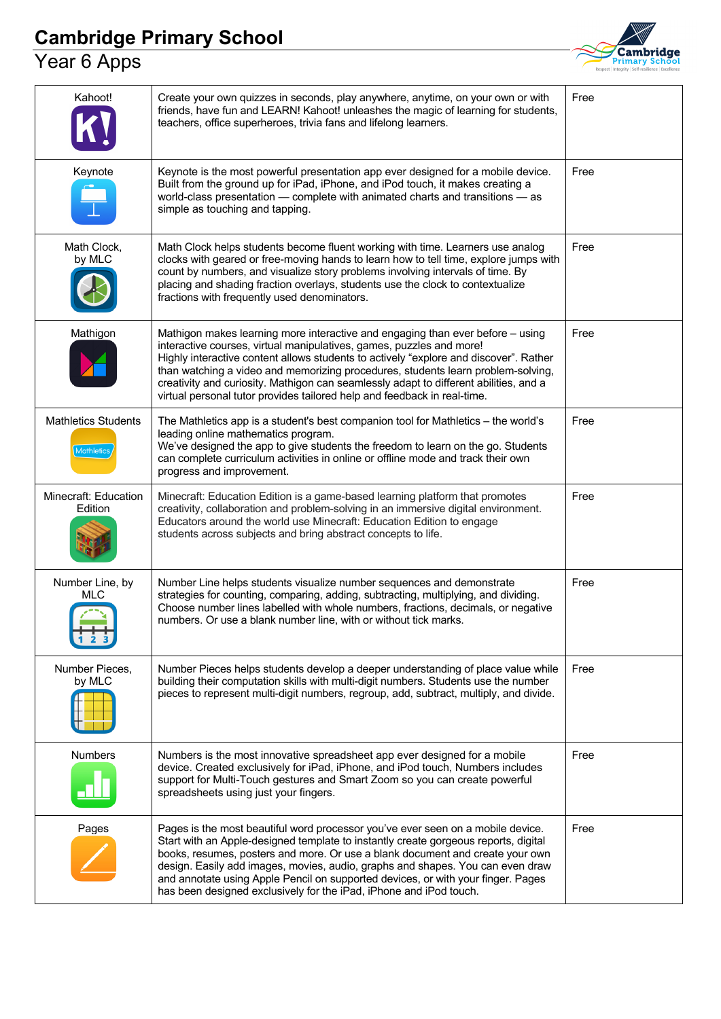#### Year 6 Apps



| Kahoot!                                         | Create your own quizzes in seconds, play anywhere, anytime, on your own or with<br>friends, have fun and LEARN! Kahoot! unleashes the magic of learning for students,<br>teachers, office superheroes, trivia fans and lifelong learners.                                                                                                                                                                                                                                                                | Free |
|-------------------------------------------------|----------------------------------------------------------------------------------------------------------------------------------------------------------------------------------------------------------------------------------------------------------------------------------------------------------------------------------------------------------------------------------------------------------------------------------------------------------------------------------------------------------|------|
| Keynote                                         | Keynote is the most powerful presentation app ever designed for a mobile device.<br>Built from the ground up for iPad, iPhone, and iPod touch, it makes creating a<br>world-class presentation - complete with animated charts and transitions - as<br>simple as touching and tapping.                                                                                                                                                                                                                   | Free |
| Math Clock,<br>by MLC                           | Math Clock helps students become fluent working with time. Learners use analog<br>clocks with geared or free-moving hands to learn how to tell time, explore jumps with<br>count by numbers, and visualize story problems involving intervals of time. By<br>placing and shading fraction overlays, students use the clock to contextualize<br>fractions with frequently used denominators.                                                                                                              | Free |
| Mathigon                                        | Mathigon makes learning more interactive and engaging than ever before - using<br>interactive courses, virtual manipulatives, games, puzzles and more!<br>Highly interactive content allows students to actively "explore and discover". Rather<br>than watching a video and memorizing procedures, students learn problem-solving,<br>creativity and curiosity. Mathigon can seamlessly adapt to different abilities, and a<br>virtual personal tutor provides tailored help and feedback in real-time. | Free |
| <b>Mathletics Students</b><br><b>Mathletics</b> | The Mathletics app is a student's best companion tool for Mathletics - the world's<br>leading online mathematics program.<br>We've designed the app to give students the freedom to learn on the go. Students<br>can complete curriculum activities in online or offline mode and track their own<br>progress and improvement.                                                                                                                                                                           | Free |
| Minecraft: Education<br>Edition                 | Minecraft: Education Edition is a game-based learning platform that promotes<br>creativity, collaboration and problem-solving in an immersive digital environment.<br>Educators around the world use Minecraft: Education Edition to engage<br>students across subjects and bring abstract concepts to life.                                                                                                                                                                                             | Free |
| Number Line, by<br>MLC                          | Number Line helps students visualize number sequences and demonstrate<br>strategies for counting, comparing, adding, subtracting, multiplying, and dividing.<br>Choose number lines labelled with whole numbers, fractions, decimals, or negative<br>numbers. Or use a blank number line, with or without tick marks.                                                                                                                                                                                    | Free |
| Number Pieces,<br>by MLC                        | Number Pieces helps students develop a deeper understanding of place value while<br>building their computation skills with multi-digit numbers. Students use the number<br>pieces to represent multi-digit numbers, regroup, add, subtract, multiply, and divide.                                                                                                                                                                                                                                        | Free |
| <b>Numbers</b>                                  | Numbers is the most innovative spreadsheet app ever designed for a mobile<br>device. Created exclusively for iPad, iPhone, and iPod touch, Numbers includes<br>support for Multi-Touch gestures and Smart Zoom so you can create powerful<br>spreadsheets using just your fingers.                                                                                                                                                                                                                       | Free |
| Pages                                           | Pages is the most beautiful word processor you've ever seen on a mobile device.<br>Start with an Apple-designed template to instantly create gorgeous reports, digital<br>books, resumes, posters and more. Or use a blank document and create your own<br>design. Easily add images, movies, audio, graphs and shapes. You can even draw<br>and annotate using Apple Pencil on supported devices, or with your finger. Pages<br>has been designed exclusively for the iPad, iPhone and iPod touch.      | Free |